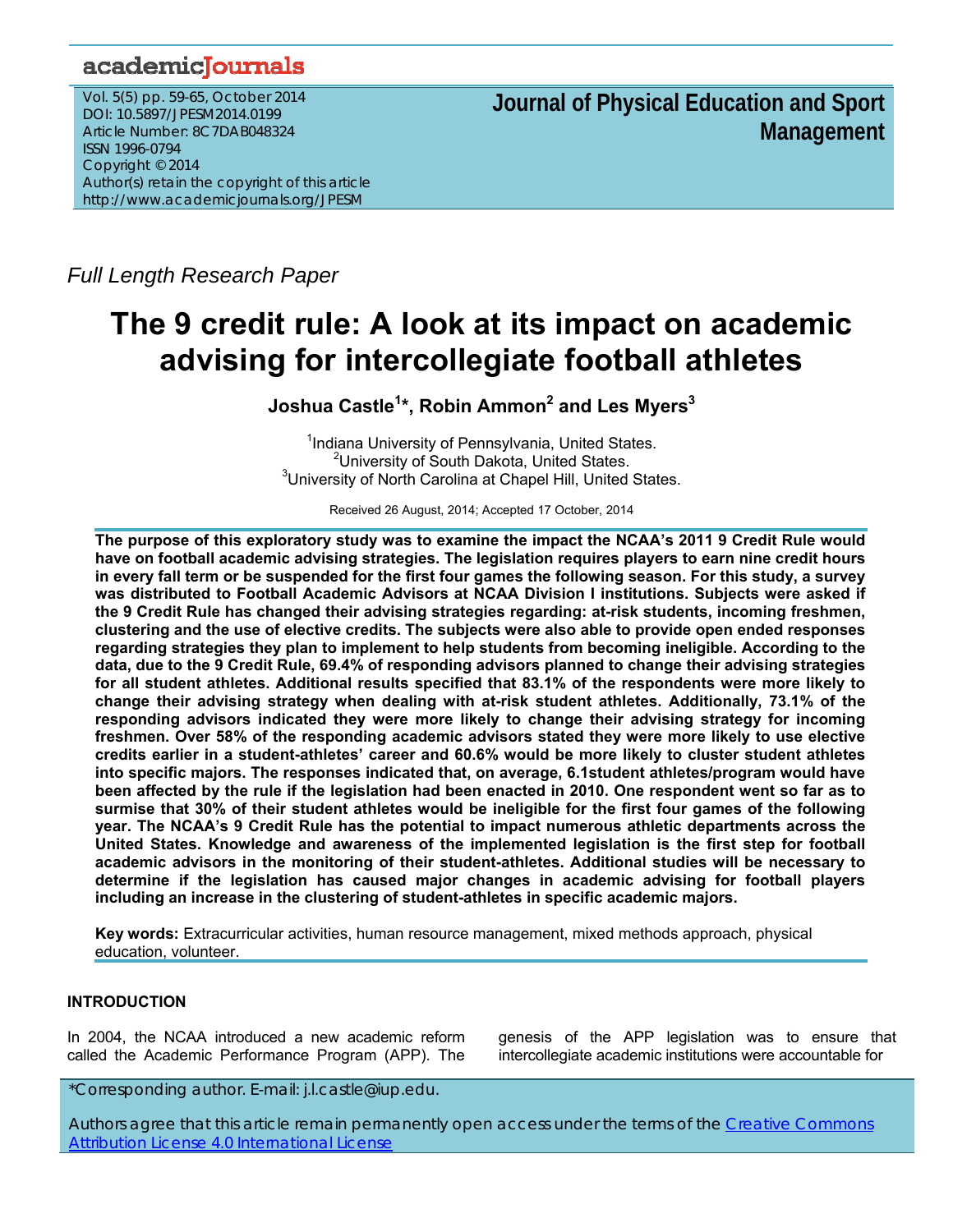## academicJournals

Vol. 5(5) pp. 59-65, October 2014 DOI: 10.5897/JPESM2014.0199 Article Number: 8C7DAB048324 ISSN 1996-0794 Copyright © 2014 Author(s) retain the copyright of this article http://www.academicjournals.org/JPESM

**Journal of Physical Education and Sport Management**

*Full Length Research Paper* 

# **The 9 credit rule: A look at its impact on academic advising for intercollegiate football athletes**

**Joshua Castle1 \*, Robin Ammon2 and Les Myers3**

<sup>1</sup>Indiana University of Pennsylvania, United States. <sup>2</sup>University of South Dakota, United States. <sup>3</sup>University of North Carolina at Chapel Hill, United States.

Received 26 August, 2014; Accepted 17 October, 2014

**The purpose of this exploratory study was to examine the impact the NCAA's 2011 9 Credit Rule would have on football academic advising strategies. The legislation requires players to earn nine credit hours in every fall term or be suspended for the first four games the following season. For this study, a survey was distributed to Football Academic Advisors at NCAA Division I institutions. Subjects were asked if the 9 Credit Rule has changed their advising strategies regarding: at-risk students, incoming freshmen, clustering and the use of elective credits. The subjects were also able to provide open ended responses regarding strategies they plan to implement to help students from becoming ineligible. According to the data, due to the 9 Credit Rule, 69.4% of responding advisors planned to change their advising strategies for all student athletes. Additional results specified that 83.1% of the respondents were more likely to change their advising strategy when dealing with at-risk student athletes. Additionally, 73.1% of the responding advisors indicated they were more likely to change their advising strategy for incoming freshmen. Over 58% of the responding academic advisors stated they were more likely to use elective credits earlier in a student-athletes' career and 60.6% would be more likely to cluster student athletes into specific majors. The responses indicated that, on average, 6.1student athletes/program would have been affected by the rule if the legislation had been enacted in 2010. One respondent went so far as to surmise that 30% of their student athletes would be ineligible for the first four games of the following year. The NCAA's 9 Credit Rule has the potential to impact numerous athletic departments across the United States. Knowledge and awareness of the implemented legislation is the first step for football academic advisors in the monitoring of their student-athletes. Additional studies will be necessary to determine if the legislation has caused major changes in academic advising for football players including an increase in the clustering of student-athletes in specific academic majors.** 

**Key words:** Extracurricular activities, human resource management, mixed methods approach, physical education, volunteer.

### **INTRODUCTION**

In 2004, the NCAA introduced a new academic reform called the Academic Performance Program (APP). The genesis of the APP legislation was to ensure that intercollegiate academic institutions were accountable for

\*Corresponding author. E-mail: j.l.castle@iup.edu.

Authors agree that this article remain permanently open access under the terms of the Creative Commons Attribution License 4.0 International License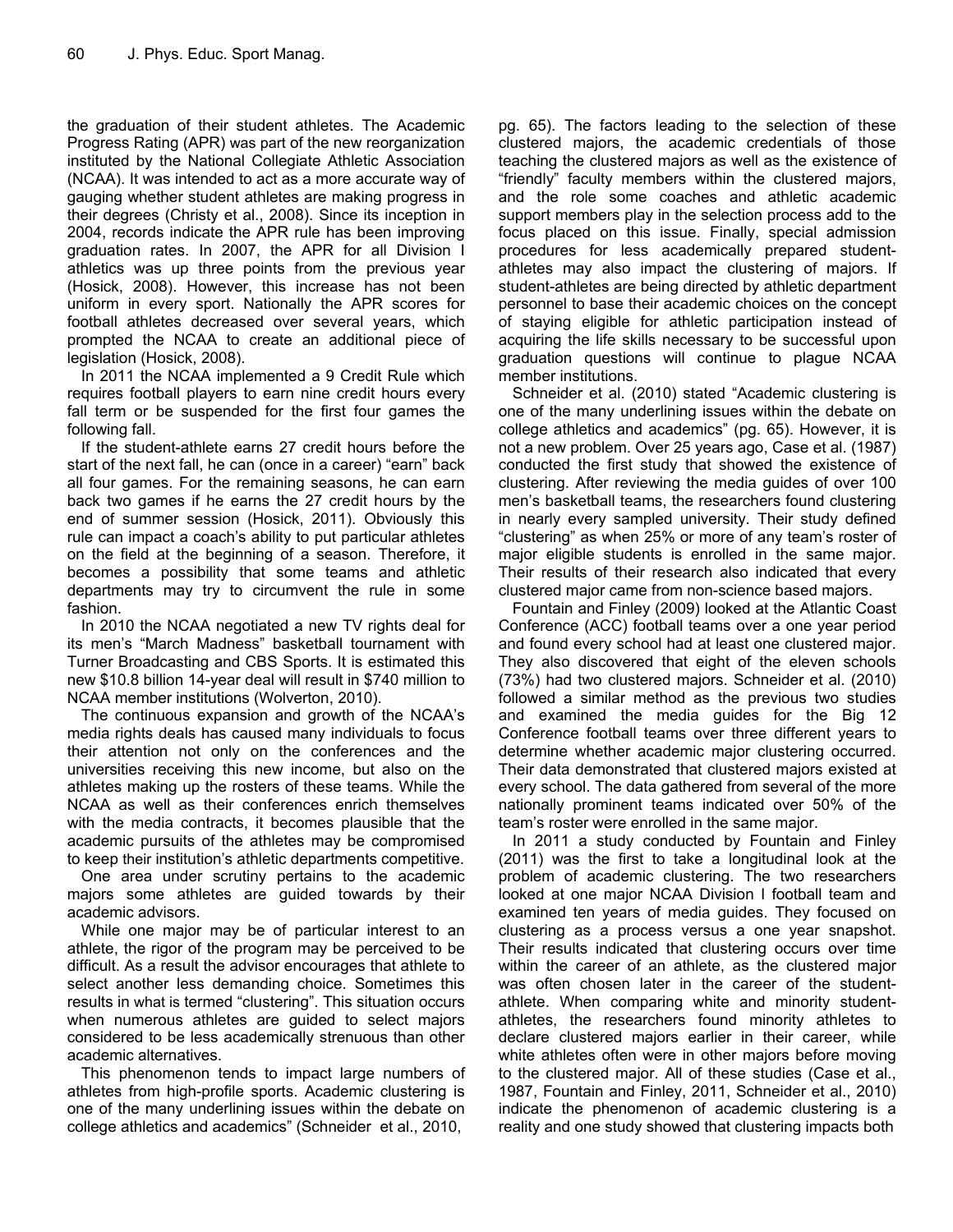the graduation of their student athletes. The Academic Progress Rating (APR) was part of the new reorganization instituted by the National Collegiate Athletic Association (NCAA). It was intended to act as a more accurate way of gauging whether student athletes are making progress in their degrees (Christy et al., 2008). Since its inception in 2004, records indicate the APR rule has been improving graduation rates. In 2007, the APR for all Division I athletics was up three points from the previous year (Hosick, 2008). However, this increase has not been uniform in every sport. Nationally the APR scores for football athletes decreased over several years, which prompted the NCAA to create an additional piece of legislation (Hosick, 2008).

In 2011 the NCAA implemented a 9 Credit Rule which requires football players to earn nine credit hours every fall term or be suspended for the first four games the following fall.

If the student-athlete earns 27 credit hours before the start of the next fall, he can (once in a career) "earn" back all four games. For the remaining seasons, he can earn back two games if he earns the 27 credit hours by the end of summer session (Hosick, 2011). Obviously this rule can impact a coach's ability to put particular athletes on the field at the beginning of a season. Therefore, it becomes a possibility that some teams and athletic departments may try to circumvent the rule in some fashion.

In 2010 the NCAA negotiated a new TV rights deal for its men's "March Madness" basketball tournament with Turner Broadcasting and CBS Sports. It is estimated this new \$10.8 billion 14-year deal will result in \$740 million to NCAA member institutions (Wolverton, 2010).

The continuous expansion and growth of the NCAA's media rights deals has caused many individuals to focus their attention not only on the conferences and the universities receiving this new income, but also on the athletes making up the rosters of these teams. While the NCAA as well as their conferences enrich themselves with the media contracts, it becomes plausible that the academic pursuits of the athletes may be compromised to keep their institution's athletic departments competitive.

One area under scrutiny pertains to the academic majors some athletes are guided towards by their academic advisors.

While one major may be of particular interest to an athlete, the rigor of the program may be perceived to be difficult. As a result the advisor encourages that athlete to select another less demanding choice. Sometimes this results in what is termed "clustering". This situation occurs when numerous athletes are guided to select majors considered to be less academically strenuous than other academic alternatives.

This phenomenon tends to impact large numbers of athletes from high-profile sports. Academic clustering is one of the many underlining issues within the debate on college athletics and academics" (Schneider et al., 2010,

pg. 65). The factors leading to the selection of these clustered majors, the academic credentials of those teaching the clustered majors as well as the existence of "friendly" faculty members within the clustered majors, and the role some coaches and athletic academic support members play in the selection process add to the focus placed on this issue. Finally, special admission procedures for less academically prepared studentathletes may also impact the clustering of majors. If student-athletes are being directed by athletic department personnel to base their academic choices on the concept of staying eligible for athletic participation instead of acquiring the life skills necessary to be successful upon graduation questions will continue to plague NCAA member institutions.

Schneider et al. (2010) stated "Academic clustering is one of the many underlining issues within the debate on college athletics and academics" (pg. 65). However, it is not a new problem. Over 25 years ago, Case et al. (1987) conducted the first study that showed the existence of clustering. After reviewing the media guides of over 100 men's basketball teams, the researchers found clustering in nearly every sampled university. Their study defined "clustering" as when 25% or more of any team's roster of major eligible students is enrolled in the same major. Their results of their research also indicated that every clustered major came from non-science based majors.

Fountain and Finley (2009) looked at the Atlantic Coast Conference (ACC) football teams over a one year period and found every school had at least one clustered major. They also discovered that eight of the eleven schools (73%) had two clustered majors. Schneider et al. (2010) followed a similar method as the previous two studies and examined the media guides for the Big 12 Conference football teams over three different years to determine whether academic major clustering occurred. Their data demonstrated that clustered majors existed at every school. The data gathered from several of the more nationally prominent teams indicated over 50% of the team's roster were enrolled in the same major.

In 2011 a study conducted by Fountain and Finley (2011) was the first to take a longitudinal look at the problem of academic clustering. The two researchers looked at one major NCAA Division I football team and examined ten years of media guides. They focused on clustering as a process versus a one year snapshot. Their results indicated that clustering occurs over time within the career of an athlete, as the clustered major was often chosen later in the career of the studentathlete. When comparing white and minority studentathletes, the researchers found minority athletes to declare clustered majors earlier in their career, while white athletes often were in other majors before moving to the clustered major. All of these studies (Case et al., 1987, Fountain and Finley, 2011, Schneider et al., 2010) indicate the phenomenon of academic clustering is a reality and one study showed that clustering impacts both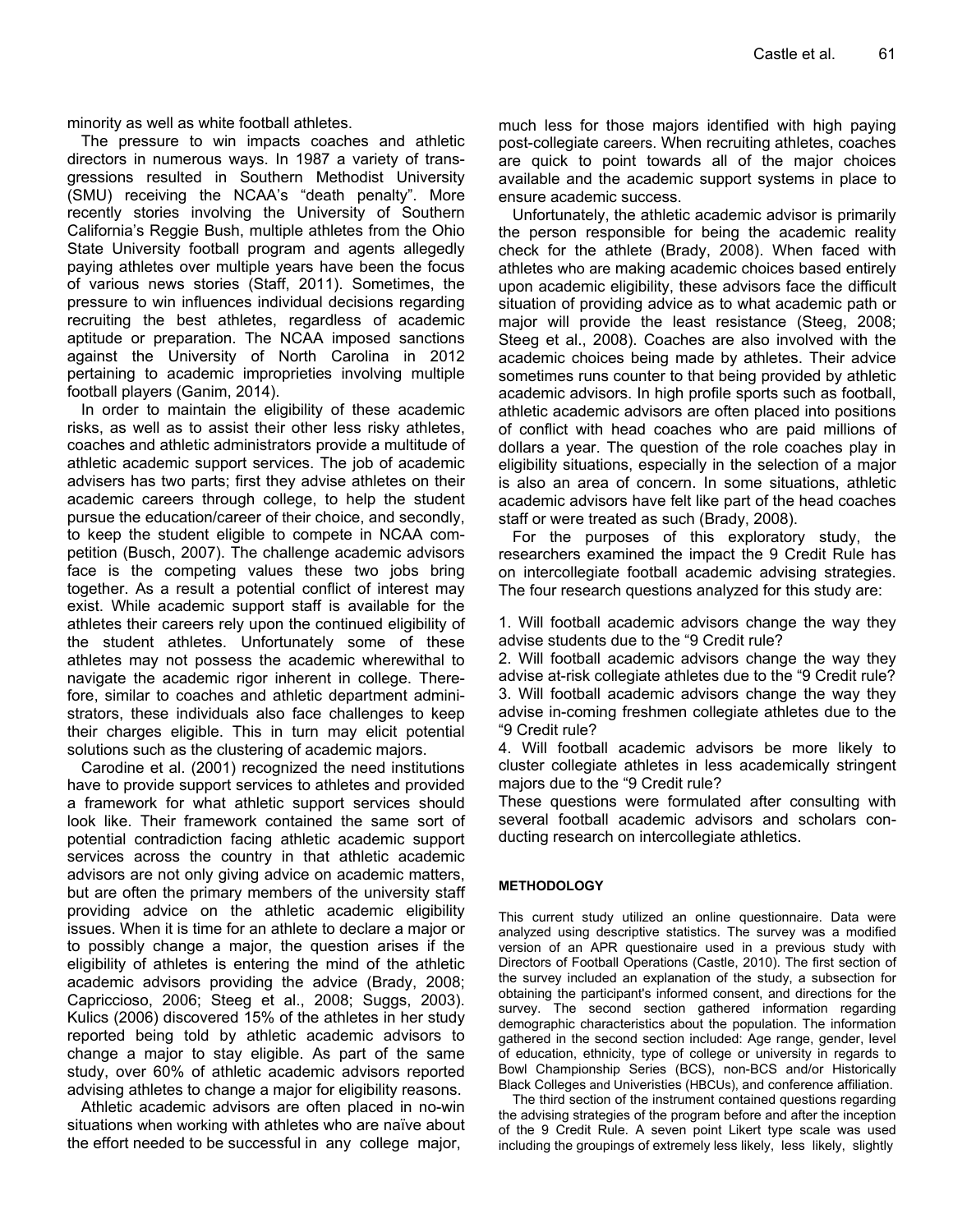minority as well as white football athletes.

The pressure to win impacts coaches and athletic directors in numerous ways. In 1987 a variety of transgressions resulted in Southern Methodist University (SMU) receiving the NCAA's "death penalty". More recently stories involving the University of Southern California's Reggie Bush, multiple athletes from the Ohio State University football program and agents allegedly paying athletes over multiple years have been the focus of various news stories (Staff, 2011). Sometimes, the pressure to win influences individual decisions regarding recruiting the best athletes, regardless of academic aptitude or preparation. The NCAA imposed sanctions against the University of North Carolina in 2012 pertaining to academic improprieties involving multiple football players (Ganim, 2014).

In order to maintain the eligibility of these academic risks, as well as to assist their other less risky athletes, coaches and athletic administrators provide a multitude of athletic academic support services. The job of academic advisers has two parts; first they advise athletes on their academic careers through college, to help the student pursue the education/career of their choice, and secondly, to keep the student eligible to compete in NCAA competition (Busch, 2007). The challenge academic advisors face is the competing values these two jobs bring together. As a result a potential conflict of interest may exist. While academic support staff is available for the athletes their careers rely upon the continued eligibility of the student athletes. Unfortunately some of these athletes may not possess the academic wherewithal to navigate the academic rigor inherent in college. Therefore, similar to coaches and athletic department administrators, these individuals also face challenges to keep their charges eligible. This in turn may elicit potential solutions such as the clustering of academic majors.

Carodine et al. (2001) recognized the need institutions have to provide support services to athletes and provided a framework for what athletic support services should look like. Their framework contained the same sort of potential contradiction facing athletic academic support services across the country in that athletic academic advisors are not only giving advice on academic matters, but are often the primary members of the university staff providing advice on the athletic academic eligibility issues. When it is time for an athlete to declare a major or to possibly change a major, the question arises if the eligibility of athletes is entering the mind of the athletic academic advisors providing the advice (Brady, 2008; Capriccioso, 2006; Steeg et al., 2008; Suggs, 2003). Kulics (2006) discovered 15% of the athletes in her study reported being told by athletic academic advisors to change a major to stay eligible. As part of the same study, over 60% of athletic academic advisors reported advising athletes to change a major for eligibility reasons.

Athletic academic advisors are often placed in no-win situations when working with athletes who are naïve about the effort needed to be successful in any college major,

much less for those majors identified with high paying post-collegiate careers. When recruiting athletes, coaches are quick to point towards all of the major choices available and the academic support systems in place to ensure academic success.

Unfortunately, the athletic academic advisor is primarily the person responsible for being the academic reality check for the athlete (Brady, 2008). When faced with athletes who are making academic choices based entirely upon academic eligibility, these advisors face the difficult situation of providing advice as to what academic path or major will provide the least resistance (Steeg, 2008; Steeg et al., 2008). Coaches are also involved with the academic choices being made by athletes. Their advice sometimes runs counter to that being provided by athletic academic advisors. In high profile sports such as football, athletic academic advisors are often placed into positions of conflict with head coaches who are paid millions of dollars a year. The question of the role coaches play in eligibility situations, especially in the selection of a major is also an area of concern. In some situations, athletic academic advisors have felt like part of the head coaches staff or were treated as such (Brady, 2008).

For the purposes of this exploratory study, the researchers examined the impact the 9 Credit Rule has on intercollegiate football academic advising strategies. The four research questions analyzed for this study are:

1. Will football academic advisors change the way they advise students due to the "9 Credit rule?

2. Will football academic advisors change the way they advise at-risk collegiate athletes due to the "9 Credit rule? 3. Will football academic advisors change the way they advise in-coming freshmen collegiate athletes due to the "9 Credit rule?

4. Will football academic advisors be more likely to cluster collegiate athletes in less academically stringent majors due to the "9 Credit rule?

These questions were formulated after consulting with several football academic advisors and scholars conducting research on intercollegiate athletics.

#### **METHODOLOGY**

This current study utilized an online questionnaire. Data were analyzed using descriptive statistics. The survey was a modified version of an APR questionaire used in a previous study with Directors of Football Operations (Castle, 2010). The first section of the survey included an explanation of the study, a subsection for obtaining the participant's informed consent, and directions for the survey. The second section gathered information regarding demographic characteristics about the population. The information gathered in the second section included: Age range, gender, level of education, ethnicity, type of college or university in regards to Bowl Championship Series (BCS), non-BCS and/or Historically Black Colleges and Univeristies (HBCUs), and conference affiliation.

The third section of the instrument contained questions regarding the advising strategies of the program before and after the inception of the 9 Credit Rule. A seven point Likert type scale was used including the groupings of extremely less likely, less likely, slightly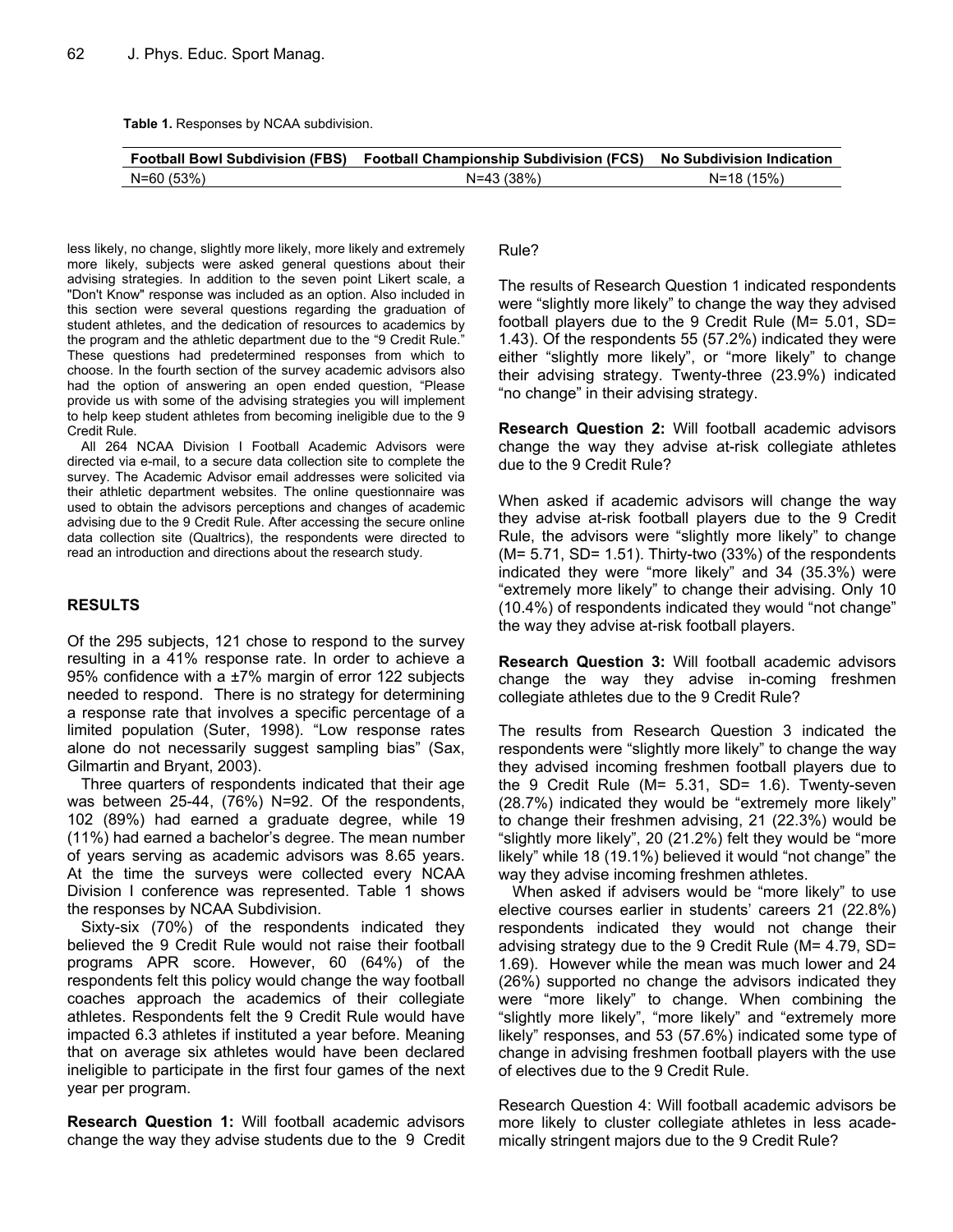**Table 1.** Responses by NCAA subdivision.

|            | Football Bowl Subdivision (FBS) Football Championship Subdivision (FCS) No Subdivision Indication |            |
|------------|---------------------------------------------------------------------------------------------------|------------|
| N=60 (53%) | $N = 43(38%)$                                                                                     | N=18 (15%) |

less likely, no change, slightly more likely, more likely and extremely more likely, subjects were asked general questions about their advising strategies. In addition to the seven point Likert scale, a "Don't Know" response was included as an option. Also included in this section were several questions regarding the graduation of student athletes, and the dedication of resources to academics by the program and the athletic department due to the "9 Credit Rule." These questions had predetermined responses from which to choose. In the fourth section of the survey academic advisors also had the option of answering an open ended question, "Please provide us with some of the advising strategies you will implement to help keep student athletes from becoming ineligible due to the 9 Credit Rule.

All 264 NCAA Division I Football Academic Advisors were directed via e-mail, to a secure data collection site to complete the survey. The Academic Advisor email addresses were solicited via their athletic department websites. The online questionnaire was used to obtain the advisors perceptions and changes of academic advising due to the 9 Credit Rule. After accessing the secure online data collection site (Qualtrics), the respondents were directed to read an introduction and directions about the research study.

#### **RESULTS**

Of the 295 subjects, 121 chose to respond to the survey resulting in a 41% response rate. In order to achieve a 95% confidence with a ±7% margin of error 122 subjects needed to respond. There is no strategy for determining a response rate that involves a specific percentage of a limited population (Suter, 1998). "Low response rates alone do not necessarily suggest sampling bias" (Sax, Gilmartin and Bryant, 2003).

Three quarters of respondents indicated that their age was between 25-44, (76%) N=92. Of the respondents, 102 (89%) had earned a graduate degree, while 19 (11%) had earned a bachelor's degree. The mean number of years serving as academic advisors was 8.65 years. At the time the surveys were collected every NCAA Division I conference was represented. Table 1 shows the responses by NCAA Subdivision.

Sixty-six (70%) of the respondents indicated they believed the 9 Credit Rule would not raise their football programs APR score. However, 60 (64%) of the respondents felt this policy would change the way football coaches approach the academics of their collegiate athletes. Respondents felt the 9 Credit Rule would have impacted 6.3 athletes if instituted a year before. Meaning that on average six athletes would have been declared ineligible to participate in the first four games of the next year per program.

**Research Question 1:** Will football academic advisors change the way they advise students due to the 9 Credit Rule?

The results of Research Question 1 indicated respondents were "slightly more likely" to change the way they advised football players due to the 9 Credit Rule (M= 5.01, SD= 1.43). Of the respondents 55 (57.2%) indicated they were either "slightly more likely", or "more likely" to change their advising strategy. Twenty-three (23.9%) indicated "no change" in their advising strategy.

**Research Question 2:** Will football academic advisors change the way they advise at-risk collegiate athletes due to the 9 Credit Rule?

When asked if academic advisors will change the way they advise at-risk football players due to the 9 Credit Rule, the advisors were "slightly more likely" to change  $(M= 5.71, SD= 1.51)$ . Thirty-two  $(33%)$  of the respondents indicated they were "more likely" and 34 (35.3%) were "extremely more likely" to change their advising. Only 10 (10.4%) of respondents indicated they would "not change" the way they advise at-risk football players.

**Research Question 3:** Will football academic advisors change the way they advise in-coming freshmen collegiate athletes due to the 9 Credit Rule?

The results from Research Question 3 indicated the respondents were "slightly more likely" to change the way they advised incoming freshmen football players due to the 9 Credit Rule (M= 5.31, SD= 1.6). Twenty-seven (28.7%) indicated they would be "extremely more likely" to change their freshmen advising, 21 (22.3%) would be "slightly more likely", 20 (21.2%) felt they would be "more likely" while 18 (19.1%) believed it would "not change" the way they advise incoming freshmen athletes.

When asked if advisers would be "more likely" to use elective courses earlier in students' careers 21 (22.8%) respondents indicated they would not change their advising strategy due to the 9 Credit Rule (M= 4.79, SD= 1.69). However while the mean was much lower and 24 (26%) supported no change the advisors indicated they were "more likely" to change. When combining the "slightly more likely", "more likely" and "extremely more likely" responses, and 53 (57.6%) indicated some type of change in advising freshmen football players with the use of electives due to the 9 Credit Rule.

Research Question 4: Will football academic advisors be more likely to cluster collegiate athletes in less academically stringent majors due to the 9 Credit Rule?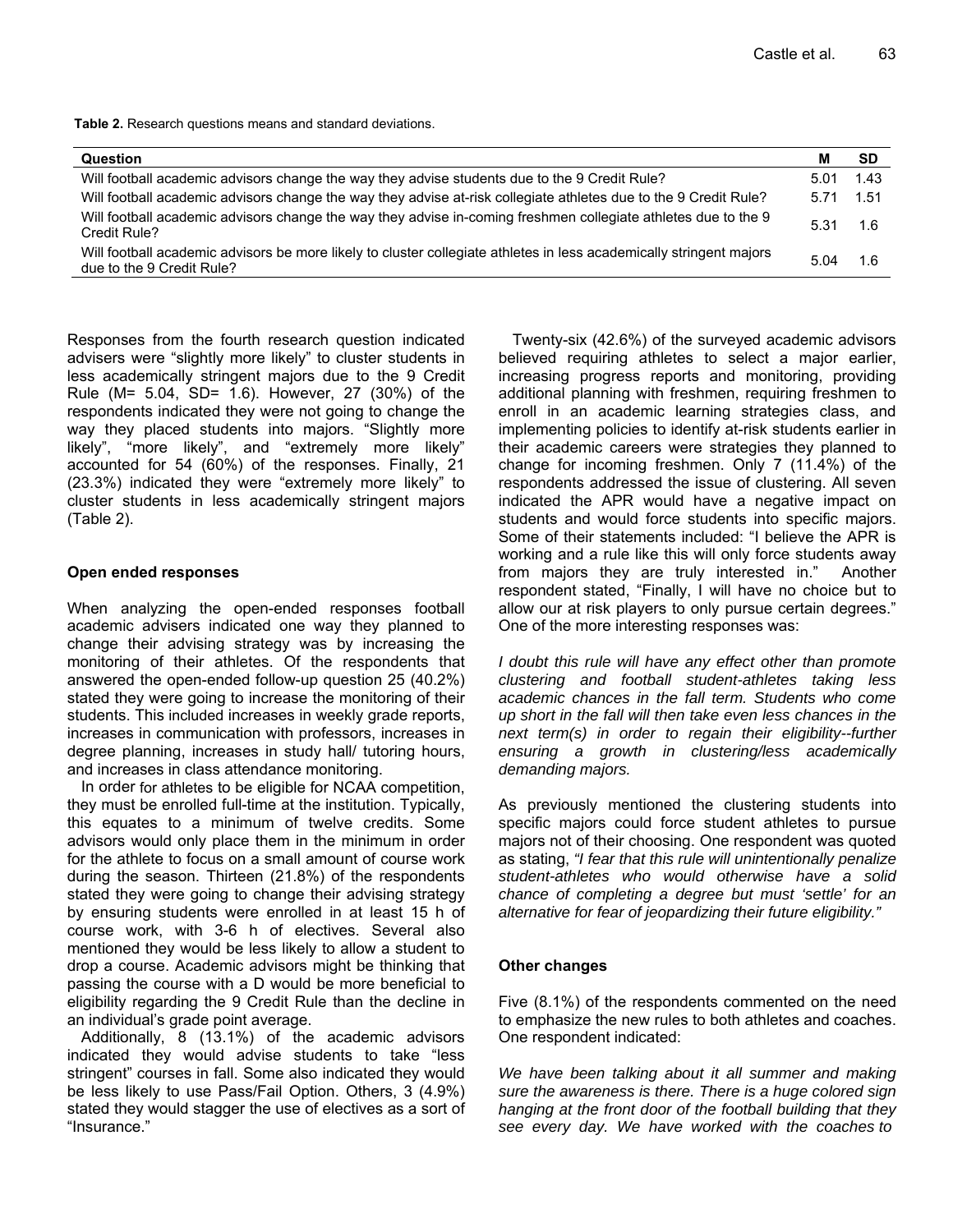**Table 2.** Research questions means and standard deviations.

| <b>Question</b>                                                                                                                                  | М           | -SD |
|--------------------------------------------------------------------------------------------------------------------------------------------------|-------------|-----|
| Will football academic advisors change the way they advise students due to the 9 Credit Rule?                                                    | $5.01$ 1.43 |     |
| Will football academic advisors change the way they advise at-risk collegiate athletes due to the 9 Credit Rule?                                 | $5.71$ 1.51 |     |
| Will football academic advisors change the way they advise in-coming freshmen collegiate athletes due to the 9<br>Credit Rule?                   | $5.31$ 1.6  |     |
| Will football academic advisors be more likely to cluster collegiate athletes in less academically stringent majors<br>due to the 9 Credit Rule? | 5.04        |     |

Responses from the fourth research question indicated advisers were "slightly more likely" to cluster students in less academically stringent majors due to the 9 Credit Rule (M= 5.04, SD= 1.6). However, 27 (30%) of the respondents indicated they were not going to change the way they placed students into majors. "Slightly more likely", "more likely", and "extremely more likely" accounted for 54 (60%) of the responses. Finally, 21 (23.3%) indicated they were "extremely more likely" to cluster students in less academically stringent majors (Table 2).

#### **Open ended responses**

When analyzing the open-ended responses football academic advisers indicated one way they planned to change their advising strategy was by increasing the monitoring of their athletes. Of the respondents that answered the open-ended follow-up question 25 (40.2%) stated they were going to increase the monitoring of their students. This included increases in weekly grade reports, increases in communication with professors, increases in degree planning, increases in study hall/ tutoring hours, and increases in class attendance monitoring.

In order for athletes to be eligible for NCAA competition, they must be enrolled full-time at the institution. Typically, this equates to a minimum of twelve credits. Some advisors would only place them in the minimum in order for the athlete to focus on a small amount of course work during the season. Thirteen (21.8%) of the respondents stated they were going to change their advising strategy by ensuring students were enrolled in at least 15 h of course work, with 3-6 h of electives. Several also mentioned they would be less likely to allow a student to drop a course. Academic advisors might be thinking that passing the course with a D would be more beneficial to eligibility regarding the 9 Credit Rule than the decline in an individual's grade point average.

Additionally, 8 (13.1%) of the academic advisors indicated they would advise students to take "less stringent" courses in fall. Some also indicated they would be less likely to use Pass/Fail Option. Others, 3 (4.9%) stated they would stagger the use of electives as a sort of "Insurance."

Twenty-six (42.6%) of the surveyed academic advisors believed requiring athletes to select a major earlier, increasing progress reports and monitoring, providing additional planning with freshmen, requiring freshmen to enroll in an academic learning strategies class, and implementing policies to identify at-risk students earlier in their academic careers were strategies they planned to change for incoming freshmen. Only 7 (11.4%) of the respondents addressed the issue of clustering. All seven indicated the APR would have a negative impact on students and would force students into specific majors. Some of their statements included: "I believe the APR is working and a rule like this will only force students away from majors they are truly interested in." Another respondent stated, "Finally, I will have no choice but to allow our at risk players to only pursue certain degrees." One of the more interesting responses was:

*I doubt this rule will have any effect other than promote clustering and football student-athletes taking less academic chances in the fall term. Students who come up short in the fall will then take even less chances in the next term(s) in order to regain their eligibility--further ensuring a growth in clustering/less academically demanding majors.* 

As previously mentioned the clustering students into specific majors could force student athletes to pursue majors not of their choosing. One respondent was quoted as stating, *"I fear that this rule will unintentionally penalize student-athletes who would otherwise have a solid chance of completing a degree but must 'settle' for an alternative for fear of jeopardizing their future eligibility."* 

#### **Other changes**

Five (8.1%) of the respondents commented on the need to emphasize the new rules to both athletes and coaches. One respondent indicated:

*We have been talking about it all summer and making sure the awareness is there. There is a huge colored sign hanging at the front door of the football building that they see every day. We have worked with the coaches to*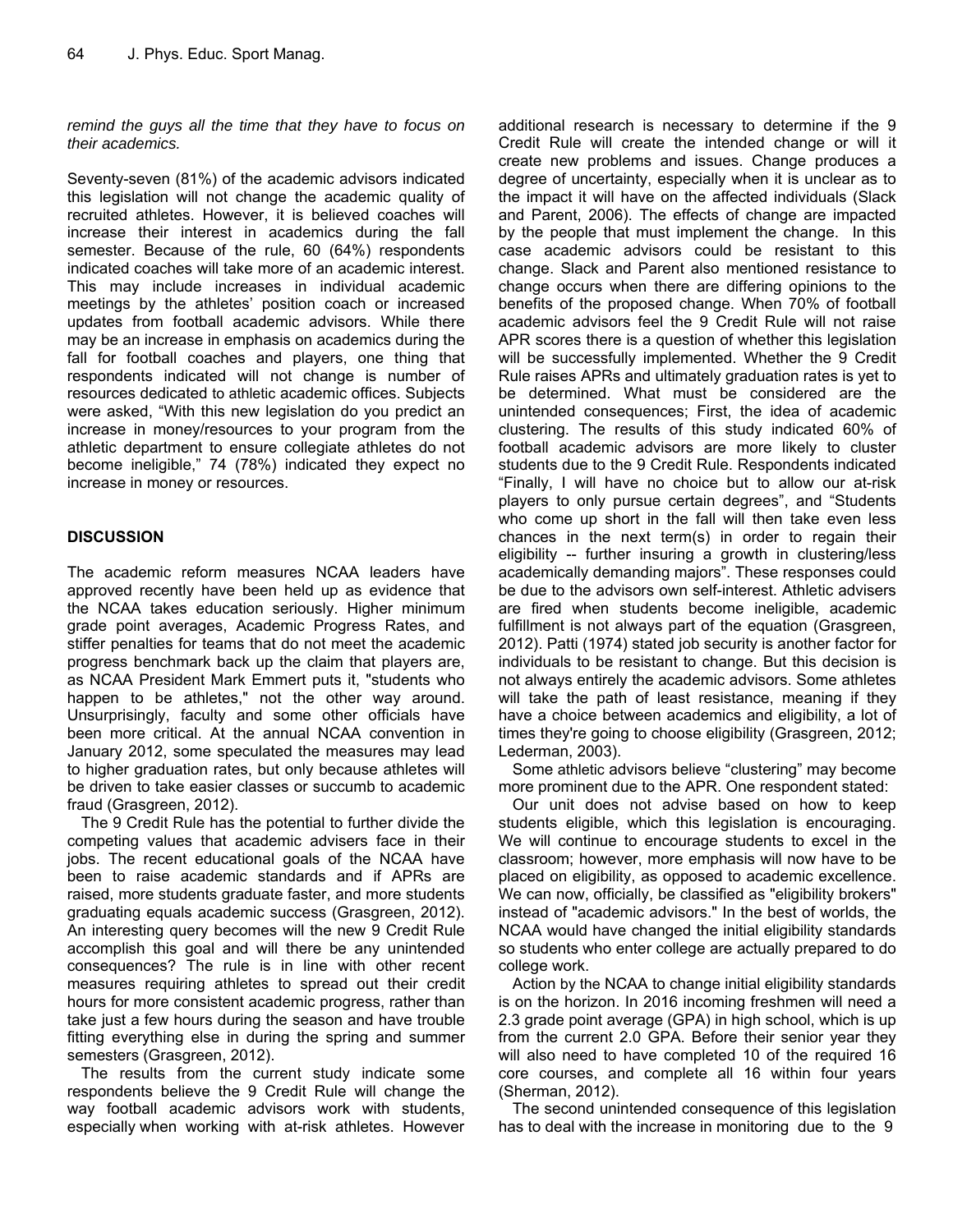*remind the guys all the time that they have to focus on their academics.* 

Seventy-seven (81%) of the academic advisors indicated this legislation will not change the academic quality of recruited athletes. However, it is believed coaches will increase their interest in academics during the fall semester. Because of the rule, 60 (64%) respondents indicated coaches will take more of an academic interest. This may include increases in individual academic meetings by the athletes' position coach or increased updates from football academic advisors. While there may be an increase in emphasis on academics during the fall for football coaches and players, one thing that respondents indicated will not change is number of resources dedicated to athletic academic offices. Subjects were asked, "With this new legislation do you predict an increase in money/resources to your program from the athletic department to ensure collegiate athletes do not become ineligible," 74 (78%) indicated they expect no increase in money or resources.

#### **DISCUSSION**

The academic reform measures NCAA leaders have approved recently have been held up as evidence that the NCAA takes education seriously. Higher minimum grade point averages, Academic Progress Rates, and stiffer penalties for teams that do not meet the academic progress benchmark back up the claim that players are, as NCAA President Mark Emmert puts it, "students who happen to be athletes," not the other way around. Unsurprisingly, faculty and some other officials have been more critical. At the annual NCAA convention in January 2012, some speculated the measures may lead to higher graduation rates, but only because athletes will be driven to take easier classes or succumb to academic fraud (Grasgreen, 2012).

The 9 Credit Rule has the potential to further divide the competing values that academic advisers face in their jobs. The recent educational goals of the NCAA have been to raise academic standards and if APRs are raised, more students graduate faster, and more students graduating equals academic success (Grasgreen, 2012). An interesting query becomes will the new 9 Credit Rule accomplish this goal and will there be any unintended consequences? The rule is in line with other recent measures requiring athletes to spread out their credit hours for more consistent academic progress, rather than take just a few hours during the season and have trouble fitting everything else in during the spring and summer semesters (Grasgreen, 2012).

The results from the current study indicate some respondents believe the 9 Credit Rule will change the way football academic advisors work with students, especially when working with at-risk athletes. However additional research is necessary to determine if the 9 Credit Rule will create the intended change or will it create new problems and issues. Change produces a degree of uncertainty, especially when it is unclear as to the impact it will have on the affected individuals (Slack and Parent, 2006). The effects of change are impacted by the people that must implement the change. In this case academic advisors could be resistant to this change. Slack and Parent also mentioned resistance to change occurs when there are differing opinions to the benefits of the proposed change. When 70% of football academic advisors feel the 9 Credit Rule will not raise APR scores there is a question of whether this legislation will be successfully implemented. Whether the 9 Credit Rule raises APRs and ultimately graduation rates is yet to be determined. What must be considered are the unintended consequences; First, the idea of academic clustering. The results of this study indicated 60% of football academic advisors are more likely to cluster students due to the 9 Credit Rule. Respondents indicated "Finally, I will have no choice but to allow our at-risk players to only pursue certain degrees", and "Students who come up short in the fall will then take even less chances in the next term(s) in order to regain their eligibility -- further insuring a growth in clustering/less academically demanding majors". These responses could be due to the advisors own self-interest. Athletic advisers are fired when students become ineligible, academic fulfillment is not always part of the equation (Grasgreen, 2012). Patti (1974) stated job security is another factor for individuals to be resistant to change. But this decision is not always entirely the academic advisors. Some athletes will take the path of least resistance, meaning if they have a choice between academics and eligibility, a lot of times they're going to choose eligibility (Grasgreen, 2012; Lederman, 2003).

Some athletic advisors believe "clustering" may become more prominent due to the APR. One respondent stated:

Our unit does not advise based on how to keep students eligible, which this legislation is encouraging. We will continue to encourage students to excel in the classroom; however, more emphasis will now have to be placed on eligibility, as opposed to academic excellence. We can now, officially, be classified as "eligibility brokers" instead of "academic advisors." In the best of worlds, the NCAA would have changed the initial eligibility standards so students who enter college are actually prepared to do college work.

Action by the NCAA to change initial eligibility standards is on the horizon. In 2016 incoming freshmen will need a 2.3 grade point average (GPA) in high school, which is up from the current 2.0 GPA. Before their senior year they will also need to have completed 10 of the required 16 core courses, and complete all 16 within four years (Sherman, 2012).

The second unintended consequence of this legislation has to deal with the increase in monitoring due to the 9